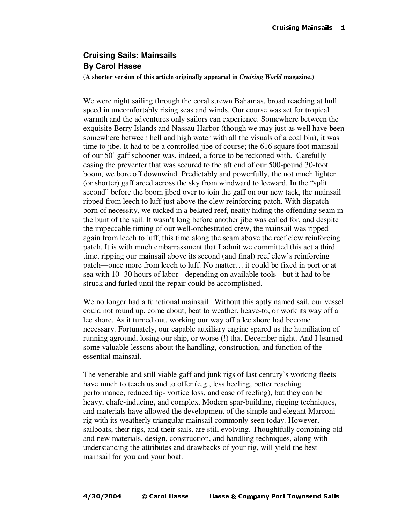## **Cruising Sails: Mainsails By Carol Hasse**

**(A shorter version of this article originally appeared in** *Cruising World* **magazine.)**

We were night sailing through the coral strewn Bahamas, broad reaching at hull speed in uncomfortably rising seas and winds. Our course was set for tropical warmth and the adventures only sailors can experience. Somewhere between the exquisite Berry Islands and Nassau Harbor (though we may just as well have been somewhere between hell and high water with all the visuals of a coal bin), it was time to jibe. It had to be a controlled jibe of course; the 616 square foot mainsail of our 50' gaff schooner was, indeed, a force to be reckoned with. Carefully easing the preventer that was secured to the aft end of our 500-pound 30-foot boom, we bore off downwind. Predictably and powerfully, the not much lighter (or shorter) gaff arced across the sky from windward to leeward. In the "split second" before the boom jibed over to join the gaff on our new tack, the mainsail ripped from leech to luff just above the clew reinforcing patch. With dispatch born of necessity, we tucked in a belated reef, neatly hiding the offending seam in the bunt of the sail. It wasn't long before another jibe was called for, and despite the impeccable timing of our well-orchestrated crew, the mainsail was ripped again from leech to luff, this time along the seam above the reef clew reinforcing patch. It is with much embarrassment that I admit we committed this act a third time, ripping our mainsail above its second (and final) reef clew's reinforcing patch—once more from leech to luff. No matter… it could be fixed in port or at sea with 10- 30 hours of labor - depending on available tools - but it had to be struck and furled until the repair could be accomplished.

We no longer had a functional mainsail. Without this aptly named sail, our vessel could not round up, come about, beat to weather, heave-to, or work its way off a lee shore. As it turned out, working our way off a lee shore had become necessary. Fortunately, our capable auxiliary engine spared us the humiliation of running aground, losing our ship, or worse (!) that December night. And I learned some valuable lessons about the handling, construction, and function of the essential mainsail.

The venerable and still viable gaff and junk rigs of last century's working fleets have much to teach us and to offer (e.g., less heeling, better reaching performance, reduced tip- vortice loss, and ease of reefing), but they can be heavy, chafe-inducing, and complex. Modern spar-building, rigging techniques, and materials have allowed the development of the simple and elegant Marconi rig with its weatherly triangular mainsail commonly seen today. However, sailboats, their rigs, and their sails, are still evolving. Thoughtfully combining old and new materials, design, construction, and handling techniques, along with understanding the attributes and drawbacks of your rig, will yield the best mainsail for you and your boat.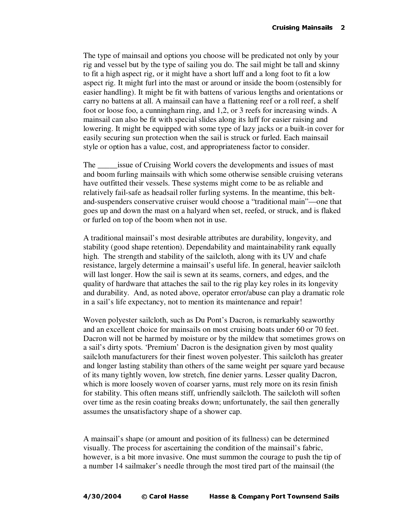The type of mainsail and options you choose will be predicated not only by your rig and vessel but by the type of sailing you do. The sail might be tall and skinny to fit a high aspect rig, or it might have a short luff and a long foot to fit a low aspect rig. It might furl into the mast or around or inside the boom (ostensibly for easier handling). It might be fit with battens of various lengths and orientations or carry no battens at all. A mainsail can have a flattening reef or a roll reef, a shelf foot or loose foo, a cunningham ring, and 1,2, or 3 reefs for increasing winds. A mainsail can also be fit with special slides along its luff for easier raising and lowering. It might be equipped with some type of lazy jacks or a built-in cover for easily securing sun protection when the sail is struck or furled. Each mainsail style or option has a value, cost, and appropriateness factor to consider.

The \_\_\_\_\_issue of Cruising World covers the developments and issues of mast and boom furling mainsails with which some otherwise sensible cruising veterans have outfitted their vessels. These systems might come to be as reliable and relatively fail-safe as headsail roller furling systems. In the meantime, this beltand-suspenders conservative cruiser would choose a "traditional main"—one that goes up and down the mast on a halyard when set, reefed, or struck, and is flaked or furled on top of the boom when not in use.

A traditional mainsail's most desirable attributes are durability, longevity, and stability (good shape retention). Dependability and maintainability rank equally high. The strength and stability of the sailcloth, along with its UV and chafe resistance, largely determine a mainsail's useful life. In general, heavier sailcloth will last longer. How the sail is sewn at its seams, corners, and edges, and the quality of hardware that attaches the sail to the rig play key roles in its longevity and durability. And, as noted above, operator error/abuse can play a dramatic role in a sail's life expectancy, not to mention its maintenance and repair!

Woven polyester sailcloth, such as Du Pont's Dacron, is remarkably seaworthy and an excellent choice for mainsails on most cruising boats under 60 or 70 feet. Dacron will not be harmed by moisture or by the mildew that sometimes grows on a sail's dirty spots. 'Premium' Dacron is the designation given by most quality sailcloth manufacturers for their finest woven polyester. This sailcloth has greater and longer lasting stability than others of the same weight per square yard because of its many tightly woven, low stretch, fine denier yarns. Lesser quality Dacron, which is more loosely woven of coarser yarns, must rely more on its resin finish for stability. This often means stiff, unfriendly sailcloth. The sailcloth will soften over time as the resin coating breaks down; unfortunately, the sail then generally assumes the unsatisfactory shape of a shower cap.

A mainsail's shape (or amount and position of its fullness) can be determined visually. The process for ascertaining the condition of the mainsail's fabric, however, is a bit more invasive. One must summon the courage to push the tip of a number 14 sailmaker's needle through the most tired part of the mainsail (the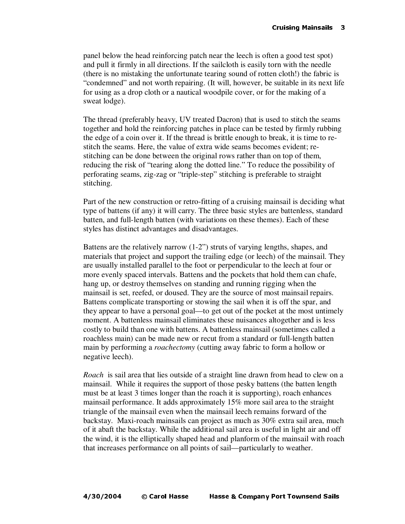panel below the head reinforcing patch near the leech is often a good test spot) and pull it firmly in all directions. If the sailcloth is easily torn with the needle (there is no mistaking the unfortunate tearing sound of rotten cloth!) the fabric is "condemned" and not worth repairing. (It will, however, be suitable in its next life for using as a drop cloth or a nautical woodpile cover, or for the making of a sweat lodge).

The thread (preferably heavy, UV treated Dacron) that is used to stitch the seams together and hold the reinforcing patches in place can be tested by firmly rubbing the edge of a coin over it. If the thread is brittle enough to break, it is time to restitch the seams. Here, the value of extra wide seams becomes evident; restitching can be done between the original rows rather than on top of them, reducing the risk of "tearing along the dotted line." To reduce the possibility of perforating seams, zig-zag or "triple-step" stitching is preferable to straight stitching.

Part of the new construction or retro-fitting of a cruising mainsail is deciding what type of battens (if any) it will carry. The three basic styles are battenless, standard batten, and full-length batten (with variations on these themes). Each of these styles has distinct advantages and disadvantages.

Battens are the relatively narrow (1-2") struts of varying lengths, shapes, and materials that project and support the trailing edge (or leech) of the mainsail. They are usually installed parallel to the foot or perpendicular to the leech at four or more evenly spaced intervals. Battens and the pockets that hold them can chafe, hang up, or destroy themselves on standing and running rigging when the mainsail is set, reefed, or doused. They are the source of most mainsail repairs. Battens complicate transporting or stowing the sail when it is off the spar, and they appear to have a personal goal—to get out of the pocket at the most untimely moment. A battenless mainsail eliminates these nuisances altogether and is less costly to build than one with battens. A battenless mainsail (sometimes called a roachless main) can be made new or recut from a standard or full-length batten main by performing a *roachectomy* (cutting away fabric to form a hollow or negative leech).

*Roach* is sail area that lies outside of a straight line drawn from head to clew on a mainsail. While it requires the support of those pesky battens (the batten length must be at least 3 times longer than the roach it is supporting), roach enhances mainsail performance. It adds approximately 15% more sail area to the straight triangle of the mainsail even when the mainsail leech remains forward of the backstay. Maxi-roach mainsails can project as much as 30% extra sail area, much of it abaft the backstay. While the additional sail area is useful in light air and off the wind, it is the elliptically shaped head and planform of the mainsail with roach that increases performance on all points of sail—particularly to weather.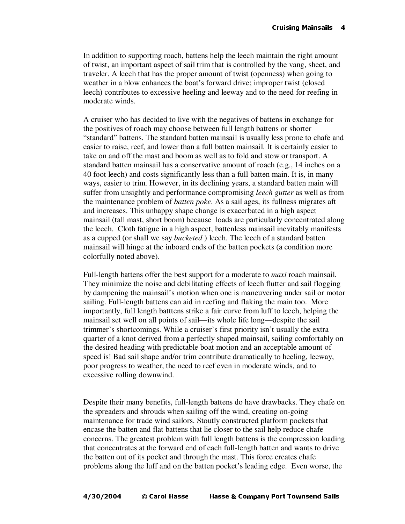In addition to supporting roach, battens help the leech maintain the right amount of twist, an important aspect of sail trim that is controlled by the vang, sheet, and traveler. A leech that has the proper amount of twist (openness) when going to weather in a blow enhances the boat's forward drive; improper twist (closed leech) contributes to excessive heeling and leeway and to the need for reefing in moderate winds.

A cruiser who has decided to live with the negatives of battens in exchange for the positives of roach may choose between full length battens or shorter "standard" battens. The standard batten mainsail is usually less prone to chafe and easier to raise, reef, and lower than a full batten mainsail. It is certainly easier to take on and off the mast and boom as well as to fold and stow or transport. A standard batten mainsail has a conservative amount of roach (e.g., 14 inches on a 40 foot leech) and costs significantly less than a full batten main. It is, in many ways, easier to trim. However, in its declining years, a standard batten main will suffer from unsightly and performance compromising *leech gutter* as well as from the maintenance problem of *batten poke*. As a sail ages, its fullness migrates aft and increases. This unhappy shape change is exacerbated in a high aspect mainsail (tall mast, short boom) because loads are particularly concentrated along the leech. Cloth fatigue in a high aspect, battenless mainsail inevitably manifests as a cupped (or shall we say *bucketed* ) leech. The leech of a standard batten mainsail will hinge at the inboard ends of the batten pockets (a condition more colorfully noted above).

Full-length battens offer the best support for a moderate to *maxi* roach mainsail. They minimize the noise and debilitating effects of leech flutter and sail flogging by dampening the mainsail's motion when one is maneuvering under sail or motor sailing. Full-length battens can aid in reefing and flaking the main too. More importantly, full length batttens strike a fair curve from luff to leech, helping the mainsail set well on all points of sail—its whole life long—despite the sail trimmer's shortcomings. While a cruiser's first priority isn't usually the extra quarter of a knot derived from a perfectly shaped mainsail, sailing comfortably on the desired heading with predictable boat motion and an acceptable amount of speed is! Bad sail shape and/or trim contribute dramatically to heeling, leeway, poor progress to weather, the need to reef even in moderate winds, and to excessive rolling downwind.

Despite their many benefits, full-length battens do have drawbacks. They chafe on the spreaders and shrouds when sailing off the wind, creating on-going maintenance for trade wind sailors. Stoutly constructed platform pockets that encase the batten and flat battens that lie closer to the sail help reduce chafe concerns. The greatest problem with full length battens is the compression loading that concentrates at the forward end of each full-length batten and wants to drive the batten out of its pocket and through the mast. This force creates chafe problems along the luff and on the batten pocket's leading edge. Even worse, the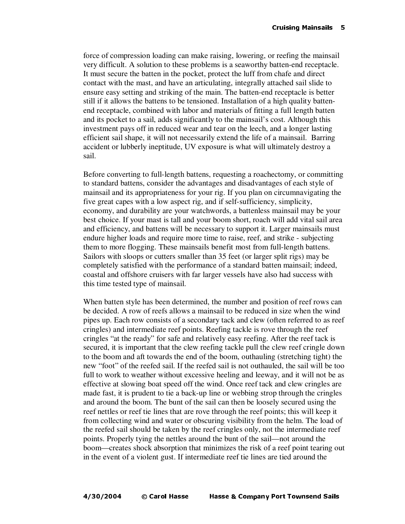force of compression loading can make raising, lowering, or reefing the mainsail very difficult. A solution to these problems is a seaworthy batten-end receptacle. It must secure the batten in the pocket, protect the luff from chafe and direct contact with the mast, and have an articulating, integrally attached sail slide to ensure easy setting and striking of the main. The batten-end receptacle is better still if it allows the battens to be tensioned. Installation of a high quality battenend receptacle, combined with labor and materials of fitting a full length batten and its pocket to a sail, adds significantly to the mainsail's cost. Although this investment pays off in reduced wear and tear on the leech, and a longer lasting efficient sail shape, it will not necessarily extend the life of a mainsail. Barring accident or lubberly ineptitude, UV exposure is what will ultimately destroy a sail.

Before converting to full-length battens, requesting a roachectomy, or committing to standard battens, consider the advantages and disadvantages of each style of mainsail and its appropriateness for your rig. If you plan on circumnavigating the five great capes with a low aspect rig, and if self-sufficiency, simplicity, economy, and durability are your watchwords, a battenless mainsail may be your best choice. If your mast is tall and your boom short, roach will add vital sail area and efficiency, and battens will be necessary to support it. Larger mainsails must endure higher loads and require more time to raise, reef, and strike - subjecting them to more flogging. These mainsails benefit most from full-length battens. Sailors with sloops or cutters smaller than 35 feet (or larger split rigs) may be completely satisfied with the performance of a standard batten mainsail; indeed, coastal and offshore cruisers with far larger vessels have also had success with this time tested type of mainsail.

When batten style has been determined, the number and position of reef rows can be decided. A row of reefs allows a mainsail to be reduced in size when the wind pipes up. Each row consists of a secondary tack and clew (often referred to as reef cringles) and intermediate reef points. Reefing tackle is rove through the reef cringles "at the ready" for safe and relatively easy reefing. After the reef tack is secured, it is important that the clew reefing tackle pull the clew reef cringle down to the boom and aft towards the end of the boom, outhauling (stretching tight) the new "foot" of the reefed sail. If the reefed sail is not outhauled, the sail will be too full to work to weather without excessive heeling and leeway, and it will not be as effective at slowing boat speed off the wind. Once reef tack and clew cringles are made fast, it is prudent to tie a back-up line or webbing strop through the cringles and around the boom. The bunt of the sail can then be loosely secured using the reef nettles or reef tie lines that are rove through the reef points; this will keep it from collecting wind and water or obscuring visibility from the helm. The load of the reefed sail should be taken by the reef cringles only, not the intermediate reef points. Properly tying the nettles around the bunt of the sail—not around the boom—creates shock absorption that minimizes the risk of a reef point tearing out in the event of a violent gust. If intermediate reef tie lines are tied around the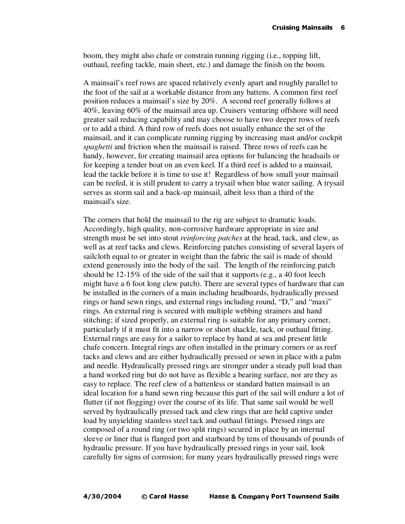boom, they might also chafe or constrain running rigging (i.e., topping lift, outhaul, reefing tackle, main sheet, etc.) and damage the finish on the boom.

A mainsail's reef rows are spaced relatively evenly apart and roughly parallel to the foot of the sail at a workable distance from any battens. A common first reef position reduces a mainsail's size by 20%. A second reef generally follows at 40%, leaving 60% of the mainsail area up. Cruisers venturing offshore will need greater sail reducing capability and may choose to have two deeper rows of reefs or to add a third. A third row of reefs does not usually enhance the set of the mainsail, and it can complicate running rigging by increasing mast and/or cockpit *spaghetti* and friction when the mainsail is raised. Three rows of reefs can be handy, however, for creating mainsail area options for balancing the headsails or for keeping a tender boat on an even keel. If a third reef is added to a mainsail, lead the tackle before it is time to use it! Regardless of how small your mainsail can be reefed, it is still prudent to carry a trysail when blue water sailing. A trysail serves as storm sail and a back-up mainsail, albeit less than a third of the mainsail's size.

The corners that hold the mainsail to the rig are subject to dramatic loads. Accordingly, high quality, non-corrosive hardware appropriate in size and strength must be set into stout *reinforcing patches* at the head, tack, and clew, as well as at reef tacks and clews. Reinforcing patches consisting of several layers of sailcloth equal to or greater in weight than the fabric the sail is made of should extend generously into the body of the sail. The length of the reinforcing patch should be 12-15% of the side of the sail that it supports (e.g., a 40 foot leech might have a 6 foot long clew patch). There are several types of hardware that can be installed in the corners of a main including headboards, hydraulically pressed rings or hand sewn rings, and external rings including round, "D," and "maxi" rings. An external ring is secured with multiple webbing strainers and hand stitching; if sized properly, an external ring is suitable for any primary corner, particularly if it must fit into a narrow or short shackle, tack, or outhaul fitting. External rings are easy for a sailor to replace by hand at sea and present little chafe concern. Integral rings are often installed in the primary corners or as reef tacks and clews and are either hydraulically pressed or sewn in place with a palm and needle. Hydraulically pressed rings are stronger under a steady pull load than a hand worked ring but do not have as flexible a bearing surface, nor are they as easy to replace. The reef clew of a battenless or standard batten mainsail is an ideal location for a hand sewn ring because this part of the sail will endure a lot of flutter (if not flogging) over the course of its life. That same sail would be well served by hydraulically pressed tack and clew rings that are held captive under load by unyielding stainless steel tack and outhaul fittings. Pressed rings are composed of a round ring (or two split rings) secured in place by an internal sleeve or liner that is flanged port and starboard by tens of thousands of pounds of hydraulic pressure. If you have hydraulically pressed rings in your sail, look carefully for signs of corrosion; for many years hydraulically pressed rings were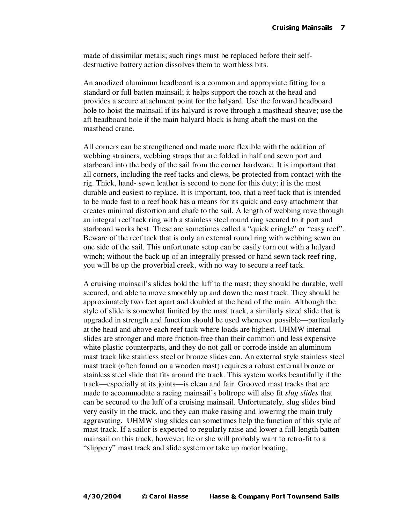made of dissimilar metals; such rings must be replaced before their selfdestructive battery action dissolves them to worthless bits.

An anodized aluminum headboard is a common and appropriate fitting for a standard or full batten mainsail; it helps support the roach at the head and provides a secure attachment point for the halyard. Use the forward headboard hole to hoist the mainsail if its halyard is rove through a masthead sheave; use the aft headboard hole if the main halyard block is hung abaft the mast on the masthead crane.

All corners can be strengthened and made more flexible with the addition of webbing strainers, webbing straps that are folded in half and sewn port and starboard into the body of the sail from the corner hardware. It is important that all corners, including the reef tacks and clews, be protected from contact with the rig. Thick, hand- sewn leather is second to none for this duty; it is the most durable and easiest to replace. It is important, too, that a reef tack that is intended to be made fast to a reef hook has a means for its quick and easy attachment that creates minimal distortion and chafe to the sail. A length of webbing rove through an integral reef tack ring with a stainless steel round ring secured to it port and starboard works best. These are sometimes called a "quick cringle" or "easy reef". Beware of the reef tack that is only an external round ring with webbing sewn on one side of the sail. This unfortunate setup can be easily torn out with a halyard winch; without the back up of an integrally pressed or hand sewn tack reef ring, you will be up the proverbial creek, with no way to secure a reef tack.

A cruising mainsail's slides hold the luff to the mast; they should be durable, well secured, and able to move smoothly up and down the mast track. They should be approximately two feet apart and doubled at the head of the main. Although the style of slide is somewhat limited by the mast track, a similarly sized slide that is upgraded in strength and function should be used whenever possible—particularly at the head and above each reef tack where loads are highest. UHMW internal slides are stronger and more friction-free than their common and less expensive white plastic counterparts, and they do not gall or corrode inside an aluminum mast track like stainless steel or bronze slides can. An external style stainless steel mast track (often found on a wooden mast) requires a robust external bronze or stainless steel slide that fits around the track. This system works beautifully if the track—especially at its joints—is clean and fair. Grooved mast tracks that are made to accommodate a racing mainsail's boltrope will also fit *slug slides* that can be secured to the luff of a cruising mainsail. Unfortunately, slug slides bind very easily in the track, and they can make raising and lowering the main truly aggravating. UHMW slug slides can sometimes help the function of this style of mast track. If a sailor is expected to regularly raise and lower a full-length batten mainsail on this track, however, he or she will probably want to retro-fit to a "slippery" mast track and slide system or take up motor boating.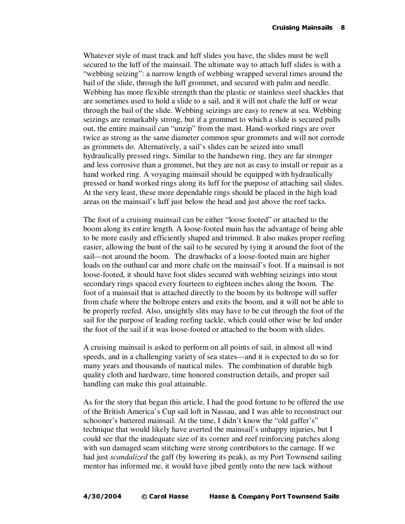Whatever style of mast track and luff slides you have, the slides must be well secured to the luff of the mainsail. The ultimate way to attach luff slides is with a "webbing seizing": a narrow length of webbing wrapped several times around the bail of the slide, through the luff grommet, and secured with palm and needle. Webbing has more flexible strength than the plastic or stainless steel shackles that are sometimes used to hold a slide to a sail, and it will not chafe the luff or wear through the bail of the slide. Webbing seizings are easy to renew at sea. Webbing seizings are remarkably strong, but if a grommet to which a slide is secured pulls out, the entire mainsail can "unzip" from the mast. Hand-worked rings are over twice as strong as the same diameter common spur grommets and will not corrode as grommets do. Alternatively, a sail's slides can be seized into small hydraulically pressed rings. Similar to the handsewn ring, they are far stronger and less corrosive than a grommet, but they are not as easy to install or repair as a hand worked ring. A voyaging mainsail should be equipped with hydraulically pressed or hand worked rings along its luff for the purpose of attaching sail slides. At the very least, these more dependable rings should be placed in the high load areas on the mainsail's luff just below the head and just above the reef tacks.

The foot of a cruising mainsail can be either "loose footed" or attached to the boom along its entire length. A loose-footed main has the advantage of being able to be more easily and efficiently shaped and trimmed. It also makes proper reefing easier, allowing the bunt of the sail to be secured by tying it around the foot of the sail—not around the boom. The drawbacks of a loose-footed main are higher loads on the outhaul car and more chafe on the mainsail's foot. If a mainsail is not loose-footed, it should have foot slides secured with webbing seizings into stout secondary rings spaced every fourteen to eighteen inches along the boom. The foot of a mainsail that is attached directly to the boom by its boltrope will suffer from chafe where the boltrope enters and exits the boom, and it will not be able to be properly reefed. Also, unsightly slits may have to be cut through the foot of the sail for the purpose of leading reefing tackle, which could other wise be led under the foot of the sail if it was loose-footed or attached to the boom with slides.

A cruising mainsail is asked to perform on all points of sail, in almost all wind speeds, and in a challenging variety of sea states—and it is expected to do so for many years and thousands of nautical miles. The combination of durable high quality cloth and hardware, time honored construction details, and proper sail handling can make this goal attainable.

As for the story that began this article, I had the good fortune to be offered the use of the British America's Cup sail loft in Nassau, and I was able to reconstruct our schooner's battered mainsail. At the time, I didn't know the "old gaffer's" technique that would likely have averted the mainsail's unhappy injuries, but I could see that the inadequate size of its corner and reef reinforcing patches along with sun damaged seam stitching were strong contributors to the carnage. If we had just *scandalized* the gaff (by lowering its peak), as my Port Townsend sailing mentor has informed me, it would have jibed gently onto the new tack without